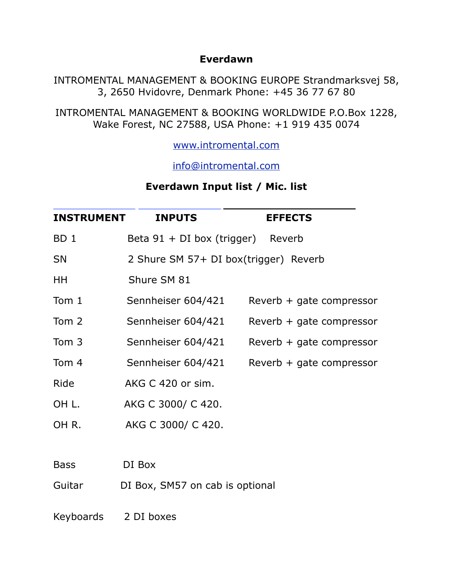## **Everdawn**

INTROMENTAL MANAGEMENT & BOOKING EUROPE Strandmarksvej 58, 3, 2650 Hvidovre, Denmark Phone: +45 36 77 67 80

INTROMENTAL MANAGEMENT & BOOKING WORLDWIDE P.O.Box 1228, Wake Forest, NC 27588, USA Phone: +1 919 435 0074

[www.intromental.com](http://www.intromental.com)

[info@intromental.com](mailto:info@intromental.com)

## **Everdawn Input list / Mic. list**

| <b>INSTRUMENT</b> | <b>INPUTS</b>                         | <b>EFFECTS</b>             |  |
|-------------------|---------------------------------------|----------------------------|--|
| BD <sub>1</sub>   | Beta $91 + DI$ box (trigger) Reverb   |                            |  |
| <b>SN</b>         | 2 Shure SM 57+ DI box(trigger) Reverb |                            |  |
| HН                | Shure SM 81                           |                            |  |
| Tom 1             | Sennheiser 604/421                    | Reverb + gate compressor   |  |
| Tom 2             | Sennheiser 604/421                    | $Reverb + gate compressor$ |  |
| Tom 3             | Sennheiser 604/421                    | Reverb + gate compressor   |  |
| Tom 4             | Sennheiser 604/421                    | $Reverb + gate compressor$ |  |
| Ride              | AKG C 420 or sim.                     |                            |  |
| OH L.             | AKG C 3000/ C 420.                    |                            |  |
| OHR.              | AKG C 3000/ C 420.                    |                            |  |
|                   |                                       |                            |  |
| <b>Bass</b>       | DI Box                                |                            |  |
| Guitar            | DI Box, SM57 on cab is optional       |                            |  |
| Keyboards         | 2 DI boxes                            |                            |  |